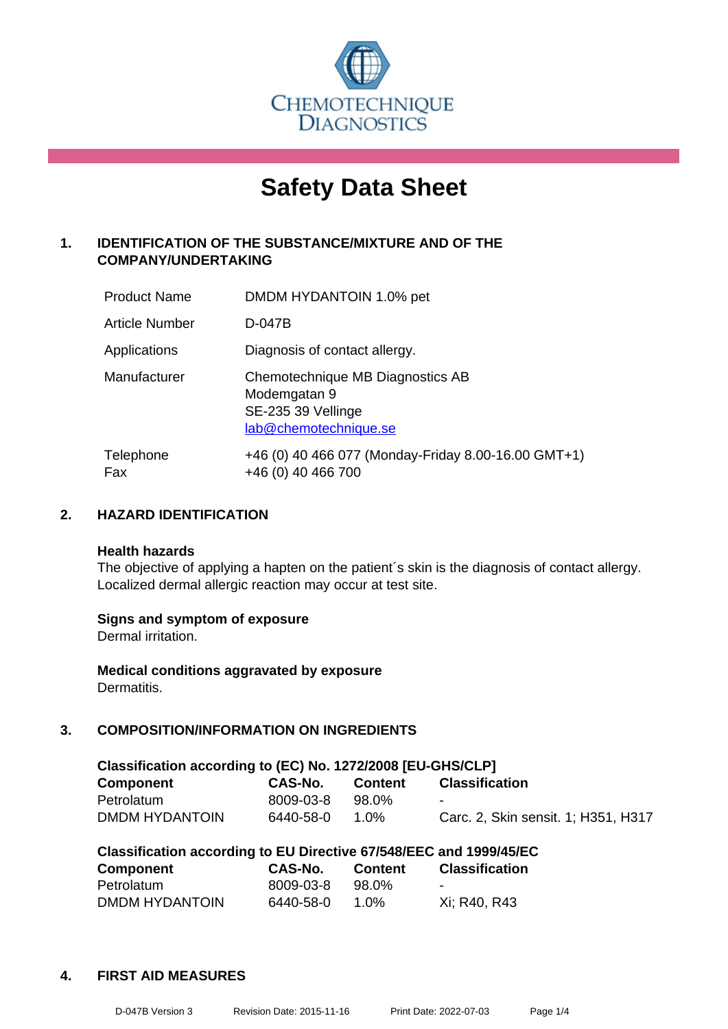

# **Safety Data Sheet**

## **1. IDENTIFICATION OF THE SUBSTANCE/MIXTURE AND OF THE COMPANY/UNDERTAKING**

| <b>Product Name</b>   | DMDM HYDANTOIN 1.0% pet                                                                         |
|-----------------------|-------------------------------------------------------------------------------------------------|
| <b>Article Number</b> | D-047B                                                                                          |
| Applications          | Diagnosis of contact allergy.                                                                   |
| Manufacturer          | Chemotechnique MB Diagnostics AB<br>Modemgatan 9<br>SE-235 39 Vellinge<br>lab@chemotechnique.se |
| Telephone<br>Fax      | +46 (0) 40 466 077 (Monday-Friday 8.00-16.00 GMT+1)<br>+46 (0) 40 466 700                       |

## **2. HAZARD IDENTIFICATION**

#### **Health hazards**

The objective of applying a hapten on the patient's skin is the diagnosis of contact allergy. Localized dermal allergic reaction may occur at test site.

## **Signs and symptom of exposure**

Dermal irritation.

**Medical conditions aggravated by exposure** Dermatitis.

## **3. COMPOSITION/INFORMATION ON INGREDIENTS**

| Classification according to (EC) No. 1272/2008 [EU-GHS/CLP] |           |                |                                     |  |  |  |
|-------------------------------------------------------------|-----------|----------------|-------------------------------------|--|--|--|
| Component                                                   | CAS-No.   | <b>Content</b> | <b>Classification</b>               |  |  |  |
| Petrolatum                                                  | 8009-03-8 | 98.0%          | $\sim$                              |  |  |  |
| DMDM HYDANTOIN                                              | 6440-58-0 | 1.0%           | Carc. 2, Skin sensit. 1; H351, H317 |  |  |  |

| Classification according to EU Directive 67/548/EEC and 1999/45/EC |           |                |                       |  |  |  |
|--------------------------------------------------------------------|-----------|----------------|-----------------------|--|--|--|
| <b>Component</b>                                                   | CAS-No.   | <b>Content</b> | <b>Classification</b> |  |  |  |
| Petrolatum                                                         | 8009-03-8 | 98.0%          | $\blacksquare$        |  |  |  |
| DMDM HYDANTOIN                                                     | 6440-58-0 | 1 በ%           | Xi: R40, R43          |  |  |  |

#### **4. FIRST AID MEASURES**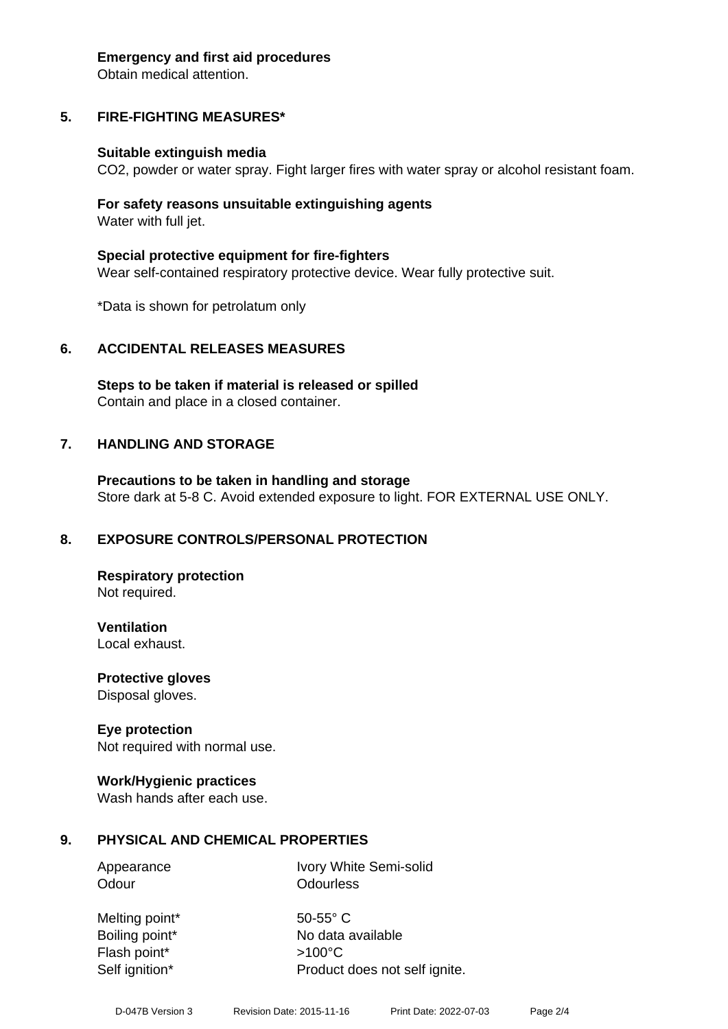#### **Emergency and first aid procedures**

Obtain medical attention.

## **5. FIRE-FIGHTING MEASURES\***

#### **Suitable extinguish media**

CO2, powder or water spray. Fight larger fires with water spray or alcohol resistant foam.

#### **For safety reasons unsuitable extinguishing agents** Water with full jet.

**Special protective equipment for fire-fighters** Wear self-contained respiratory protective device. Wear fully protective suit.

\*Data is shown for petrolatum only

## **6. ACCIDENTAL RELEASES MEASURES**

**Steps to be taken if material is released or spilled** Contain and place in a closed container.

## **7. HANDLING AND STORAGE**

**Precautions to be taken in handling and storage** Store dark at 5-8 C. Avoid extended exposure to light. FOR EXTERNAL USE ONLY.

## **8. EXPOSURE CONTROLS/PERSONAL PROTECTION**

**Respiratory protection** Not required.

**Ventilation**

Local exhaust.

**Protective gloves** Disposal gloves.

## **Eye protection**

Not required with normal use.

## **Work/Hygienic practices**

Wash hands after each use.

## **9. PHYSICAL AND CHEMICAL PROPERTIES**

Odour **Odourless** 

Appearance Ivory White Semi-solid

Melting point\* 50-55° C Flash point\* >100°C

Boiling point\* No data available Self ignition\* Product does not self ignite.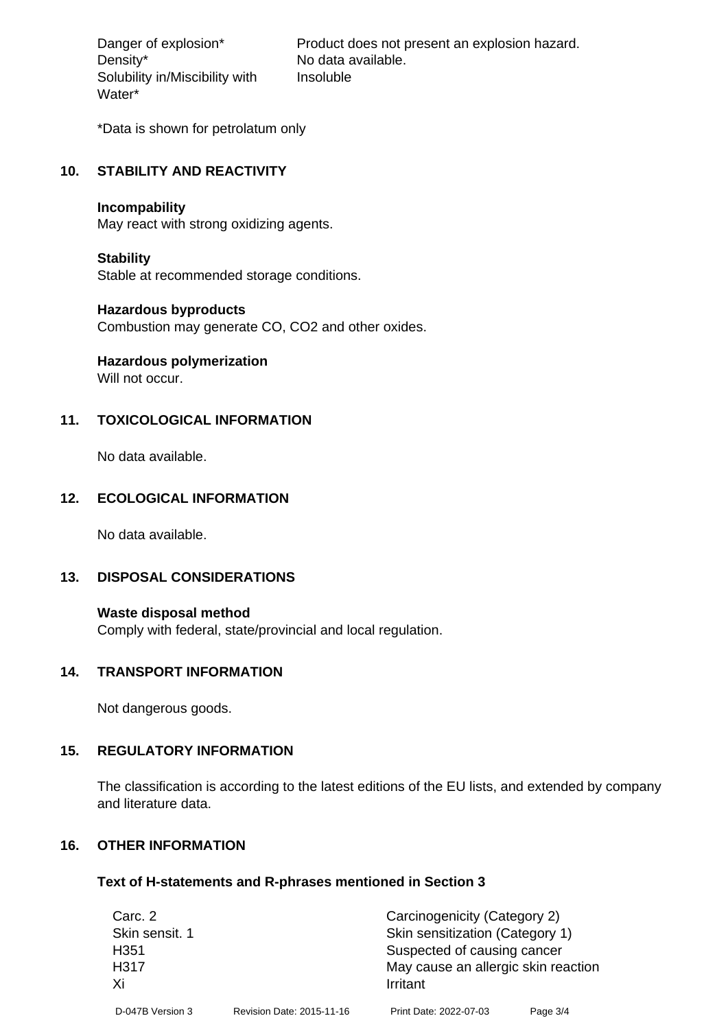Density\* No data available. Solubility in/Miscibility with Water\*

Danger of explosion\* Product does not present an explosion hazard. Insoluble

\*Data is shown for petrolatum only

#### **10. STABILITY AND REACTIVITY**

#### **Incompability**

May react with strong oxidizing agents.

#### **Stability**

Stable at recommended storage conditions.

#### **Hazardous byproducts**

Combustion may generate CO, CO2 and other oxides.

## **Hazardous polymerization**

Will not occur.

## **11. TOXICOLOGICAL INFORMATION**

No data available.

## **12. ECOLOGICAL INFORMATION**

No data available.

## **13. DISPOSAL CONSIDERATIONS**

**Waste disposal method** Comply with federal, state/provincial and local regulation.

#### **14. TRANSPORT INFORMATION**

Not dangerous goods.

## **15. REGULATORY INFORMATION**

The classification is according to the latest editions of the EU lists, and extended by company and literature data.

## **16. OTHER INFORMATION**

#### **Text of H-statements and R-phrases mentioned in Section 3**

| Carc. 2           |                           | Carcinogenicity (Category 2)        |          |  |
|-------------------|---------------------------|-------------------------------------|----------|--|
| Skin sensit. 1    |                           | Skin sensitization (Category 1)     |          |  |
| H <sub>351</sub>  |                           | Suspected of causing cancer         |          |  |
| H <sub>3</sub> 17 |                           | May cause an allergic skin reaction |          |  |
| Xi                |                           | Irritant                            |          |  |
| D-047B Version 3  | Revision Date: 2015-11-16 | Print Date: 2022-07-03              | Page 3/4 |  |